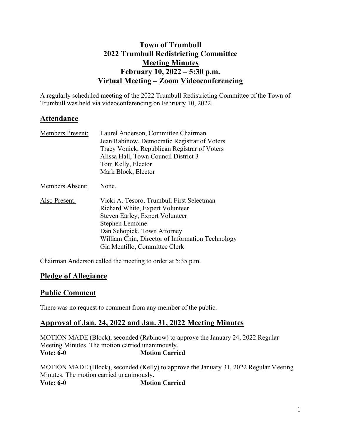# **Town of Trumbull 2022 Trumbull Redistricting Committee Meeting Minutes February 10, 2022 – 5:30 p.m. Virtual Meeting – Zoom Videoconferencing**

A regularly scheduled meeting of the 2022 Trumbull Redistricting Committee of the Town of Trumbull was held via videoconferencing on February 10, 2022.

# **Attendance**

| <b>Members Present:</b> | Laurel Anderson, Committee Chairman<br>Jean Rabinow, Democratic Registrar of Voters<br>Tracy Vonick, Republican Registrar of Voters<br>Alissa Hall, Town Council District 3<br>Tom Kelly, Elector                                                      |
|-------------------------|--------------------------------------------------------------------------------------------------------------------------------------------------------------------------------------------------------------------------------------------------------|
|                         | Mark Block, Elector                                                                                                                                                                                                                                    |
| Members Absent:         | None.                                                                                                                                                                                                                                                  |
| Also Present:           | Vicki A. Tesoro, Trumbull First Selectman<br>Richard White, Expert Volunteer<br>Steven Earley, Expert Volunteer<br>Stephen Lemoine<br>Dan Schopick, Town Attorney<br>William Chin, Director of Information Technology<br>Gia Mentillo, Committee Clerk |

Chairman Anderson called the meeting to order at 5:35 p.m.

## **Pledge of Allegiance**

## **Public Comment**

There was no request to comment from any member of the public.

## **Approval of Jan. 24, 2022 and Jan. 31, 2022 Meeting Minutes**

MOTION MADE (Block), seconded (Rabinow) to approve the January 24, 2022 Regular Meeting Minutes. The motion carried unanimously.<br>Vote: 6-0 Motion Carrie **Motion Carried** 

MOTION MADE (Block), seconded (Kelly) to approve the January 31, 2022 Regular Meeting Minutes. The motion carried unanimously. **Vote: 6-0 Motion Carried**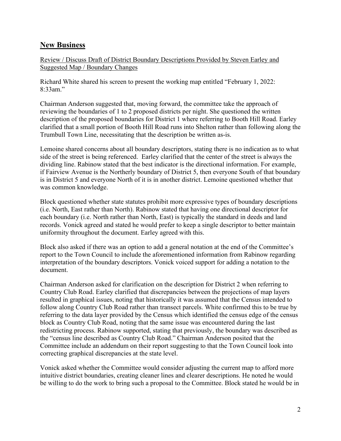#### **New Business**

Review / Discuss Draft of District Boundary Descriptions Provided by Steven Earley and Suggested Map / Boundary Changes

Richard White shared his screen to present the working map entitled "February 1, 2022: 8:33am."

Chairman Anderson suggested that, moving forward, the committee take the approach of reviewing the boundaries of 1 to 2 proposed districts per night. She questioned the written description of the proposed boundaries for District 1 where referring to Booth Hill Road. Earley clarified that a small portion of Booth Hill Road runs into Shelton rather than following along the Trumbull Town Line, necessitating that the description be written as-is.

Lemoine shared concerns about all boundary descriptors, stating there is no indication as to what side of the street is being referenced. Earley clarified that the center of the street is always the dividing line. Rabinow stated that the best indicator is the directional information. For example, if Fairview Avenue is the Northerly boundary of District 5, then everyone South of that boundary is in District 5 and everyone North of it is in another district. Lemoine questioned whether that was common knowledge.

Block questioned whether state statutes prohibit more expressive types of boundary descriptions (i.e. North, East rather than North). Rabinow stated that having one directional descriptor for each boundary (i.e. North rather than North, East) is typically the standard in deeds and land records. Vonick agreed and stated he would prefer to keep a single descriptor to better maintain uniformity throughout the document. Earley agreed with this.

Block also asked if there was an option to add a general notation at the end of the Committee's report to the Town Council to include the aforementioned information from Rabinow regarding interpretation of the boundary descriptors. Vonick voiced support for adding a notation to the document.

Chairman Anderson asked for clarification on the description for District 2 when referring to Country Club Road. Earley clarified that discrepancies between the projections of map layers resulted in graphical issues, noting that historically it was assumed that the Census intended to follow along Country Club Road rather than transect parcels. White confirmed this to be true by referring to the data layer provided by the Census which identified the census edge of the census block as Country Club Road, noting that the same issue was encountered during the last redistricting process. Rabinow supported, stating that previously, the boundary was described as the "census line described as Country Club Road." Chairman Anderson posited that the Committee include an addendum on their report suggesting to that the Town Council look into correcting graphical discrepancies at the state level.

Vonick asked whether the Committee would consider adjusting the current map to afford more intuitive district boundaries, creating cleaner lines and clearer descriptions. He noted he would be willing to do the work to bring such a proposal to the Committee. Block stated he would be in